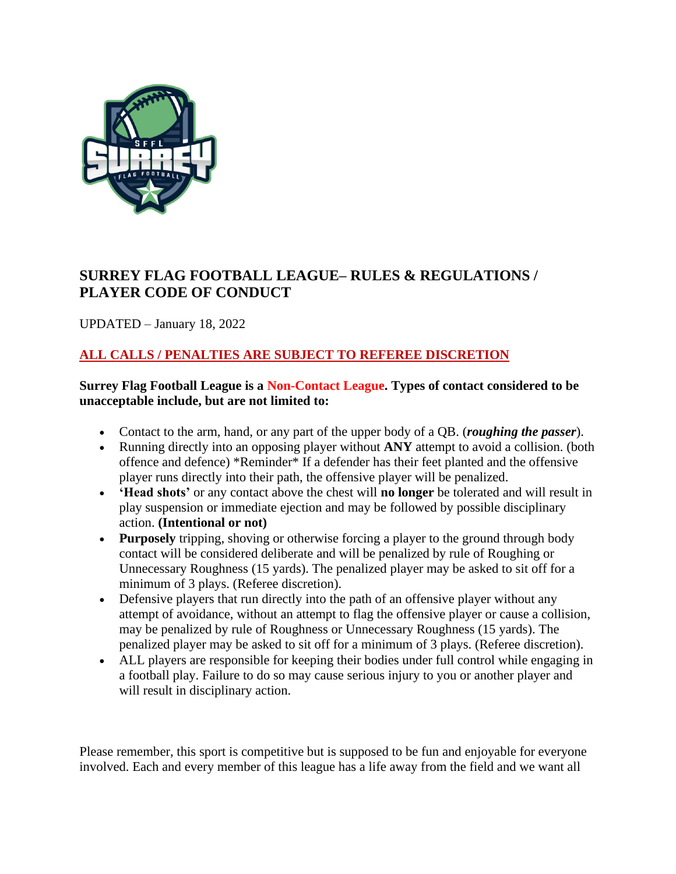

# **SURREY FLAG FOOTBALL LEAGUE– RULES & REGULATIONS / PLAYER CODE OF CONDUCT**

UPDATED – January 18, 2022

# **ALL CALLS / PENALTIES ARE SUBJECT TO REFEREE DISCRETION**

**Surrey Flag Football League is a Non-Contact League. Types of contact considered to be unacceptable include, but are not limited to:** 

- Contact to the arm, hand, or any part of the upper body of a QB. (*roughing the passer*).
- Running directly into an opposing player without **ANY** attempt to avoid a collision. (both offence and defence) \*Reminder\* If a defender has their feet planted and the offensive player runs directly into their path, the offensive player will be penalized.
- **'Head shots'** or any contact above the chest will **no longer** be tolerated and will result in play suspension or immediate ejection and may be followed by possible disciplinary action. **(Intentional or not)**
- **Purposely** tripping, shoving or otherwise forcing a player to the ground through body contact will be considered deliberate and will be penalized by rule of Roughing or Unnecessary Roughness (15 yards). The penalized player may be asked to sit off for a minimum of 3 plays. (Referee discretion).
- Defensive players that run directly into the path of an offensive player without any attempt of avoidance, without an attempt to flag the offensive player or cause a collision, may be penalized by rule of Roughness or Unnecessary Roughness (15 yards). The penalized player may be asked to sit off for a minimum of 3 plays. (Referee discretion).
- ALL players are responsible for keeping their bodies under full control while engaging in a football play. Failure to do so may cause serious injury to you or another player and will result in disciplinary action.

Please remember, this sport is competitive but is supposed to be fun and enjoyable for everyone involved. Each and every member of this league has a life away from the field and we want all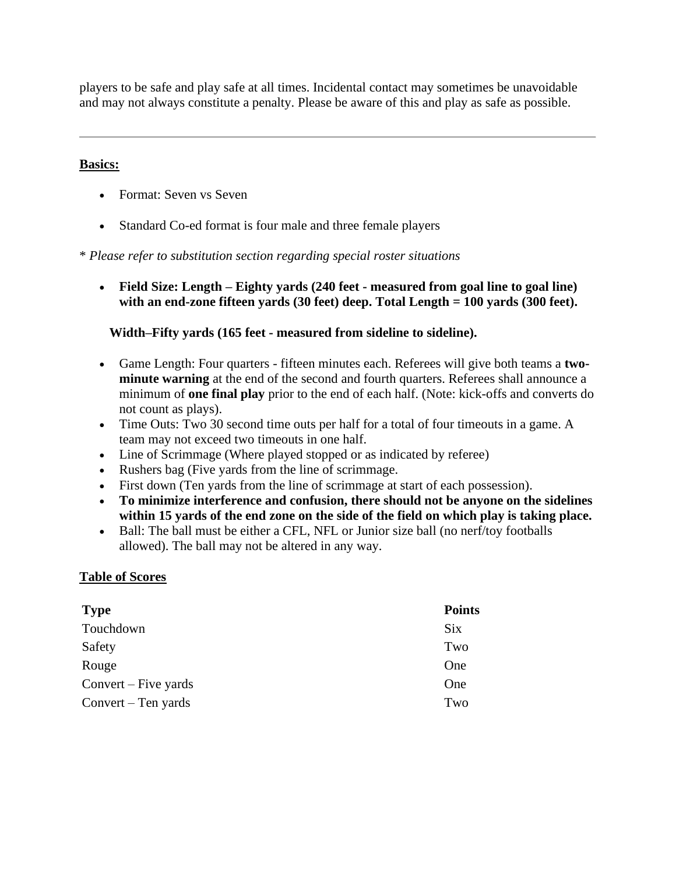players to be safe and play safe at all times. Incidental contact may sometimes be unavoidable and may not always constitute a penalty. Please be aware of this and play as safe as possible.

#### **Basics:**

- Format: Seven vs Seven
- Standard Co-ed format is four male and three female players

\* *Please refer to substitution section regarding special roster situations*

• **Field Size: Length – Eighty yards (240 feet - measured from goal line to goal line) with an end-zone fifteen yards (30 feet) deep. Total Length = 100 yards (300 feet).**

#### **Width–Fifty yards (165 feet - measured from sideline to sideline).**

- Game Length: Four quarters fifteen minutes each. Referees will give both teams a **twominute warning** at the end of the second and fourth quarters. Referees shall announce a minimum of **one final play** prior to the end of each half. (Note: kick-offs and converts do not count as plays).
- Time Outs: Two 30 second time outs per half for a total of four timeouts in a game. A team may not exceed two timeouts in one half.
- Line of Scrimmage (Where played stopped or as indicated by referee)
- Rushers bag (Five yards from the line of scrimmage.
- First down (Ten yards from the line of scrimmage at start of each possession).
- **To minimize interference and confusion, there should not be anyone on the sidelines within 15 yards of the end zone on the side of the field on which play is taking place.**
- Ball: The ball must be either a CFL, NFL or Junior size ball (no nerf/toy footballs allowed). The ball may not be altered in any way.

#### **Table of Scores**

| <b>Type</b>          | <b>Points</b> |
|----------------------|---------------|
| Touchdown            | <b>Six</b>    |
| Safety               | Two           |
| Rouge                | One           |
| Convert – Five yards | One           |
| Convert – Ten yards  | Two           |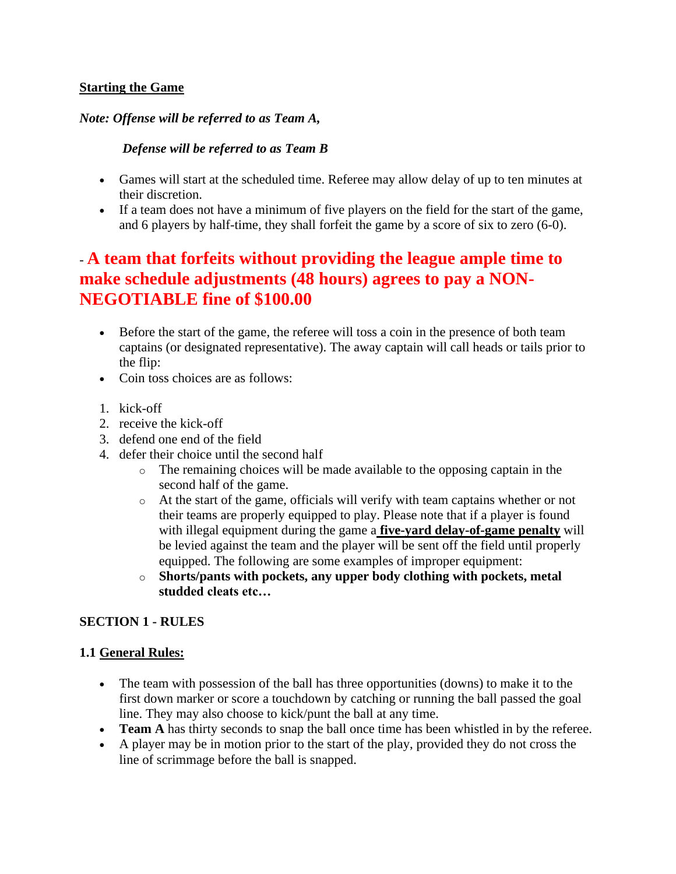#### **Starting the Game**

#### *Note: Offense will be referred to as Team A,*

#### *Defense will be referred to as Team B*

- Games will start at the scheduled time. Referee may allow delay of up to ten minutes at their discretion.
- If a team does not have a minimum of five players on the field for the start of the game, and 6 players by half-time, they shall forfeit the game by a score of six to zero (6-0).

# *-* **A team that forfeits without providing the league ample time to make schedule adjustments (48 hours) agrees to pay a NON-NEGOTIABLE fine of \$100.00**

- Before the start of the game, the referee will toss a coin in the presence of both team captains (or designated representative). The away captain will call heads or tails prior to the flip:
- Coin toss choices are as follows:
- 1. kick-off
- 2. receive the kick-off
- 3. defend one end of the field
- 4. defer their choice until the second half
	- o The remaining choices will be made available to the opposing captain in the second half of the game.
	- o At the start of the game, officials will verify with team captains whether or not their teams are properly equipped to play. Please note that if a player is found with illegal equipment during the game a **five-yard delay-of-game penalty** will be levied against the team and the player will be sent off the field until properly equipped. The following are some examples of improper equipment:
	- o **Shorts/pants with pockets, any upper body clothing with pockets, metal studded cleats etc…**

# **SECTION 1 - RULES**

# **1.1 General Rules:**

- The team with possession of the ball has three opportunities (downs) to make it to the first down marker or score a touchdown by catching or running the ball passed the goal line. They may also choose to kick/punt the ball at any time.
- **Team A** has thirty seconds to snap the ball once time has been whistled in by the referee.
- A player may be in motion prior to the start of the play, provided they do not cross the line of scrimmage before the ball is snapped.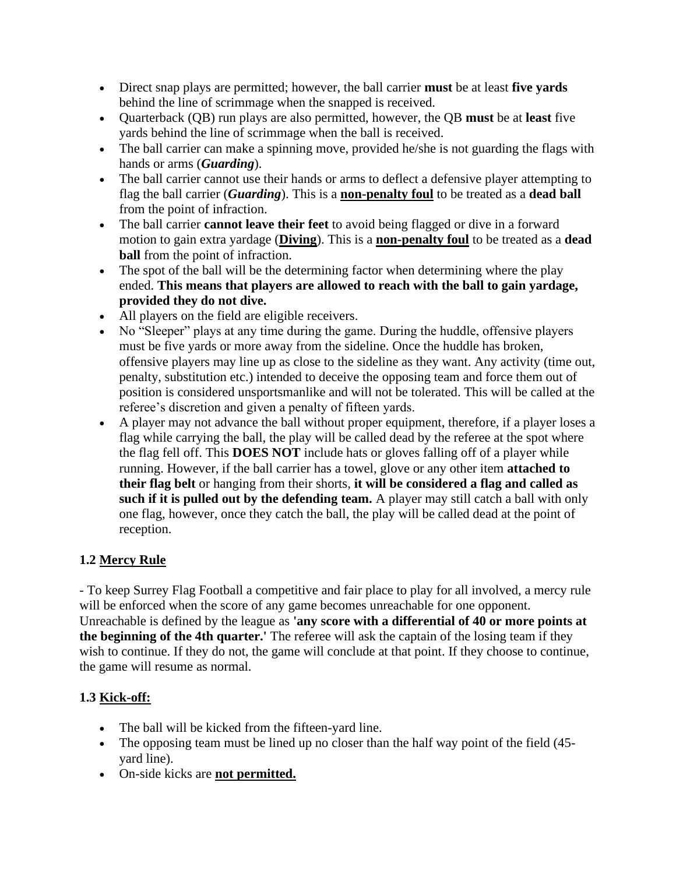- Direct snap plays are permitted; however, the ball carrier **must** be at least **five yards** behind the line of scrimmage when the snapped is received.
- Quarterback (QB) run plays are also permitted, however, the QB **must** be at **least** five yards behind the line of scrimmage when the ball is received.
- The ball carrier can make a spinning move, provided he/she is not guarding the flags with hands or arms (*Guarding*).
- The ball carrier cannot use their hands or arms to deflect a defensive player attempting to flag the ball carrier (*Guarding*). This is a **non-penalty foul** to be treated as a **dead ball** from the point of infraction.
- The ball carrier **cannot leave their feet** to avoid being flagged or dive in a forward motion to gain extra yardage (**Diving**). This is a **non-penalty foul** to be treated as a **dead ball** from the point of infraction.
- The spot of the ball will be the determining factor when determining where the play ended. **This means that players are allowed to reach with the ball to gain yardage, provided they do not dive.**
- All players on the field are eligible receivers.
- No "Sleeper" plays at any time during the game. During the huddle, offensive players must be five yards or more away from the sideline. Once the huddle has broken, offensive players may line up as close to the sideline as they want. Any activity (time out, penalty, substitution etc.) intended to deceive the opposing team and force them out of position is considered unsportsmanlike and will not be tolerated. This will be called at the referee's discretion and given a penalty of fifteen yards.
- A player may not advance the ball without proper equipment, therefore, if a player loses a flag while carrying the ball, the play will be called dead by the referee at the spot where the flag fell off. This **DOES NOT** include hats or gloves falling off of a player while running. However, if the ball carrier has a towel, glove or any other item **attached to their flag belt** or hanging from their shorts, **it will be considered a flag and called as such if it is pulled out by the defending team.** A player may still catch a ball with only one flag, however, once they catch the ball, the play will be called dead at the point of reception.

# **1.2 Mercy Rule**

- To keep Surrey Flag Football a competitive and fair place to play for all involved, a mercy rule will be enforced when the score of any game becomes unreachable for one opponent. Unreachable is defined by the league as **'any score with a differential of 40 or more points at the beginning of the 4th quarter.'** The referee will ask the captain of the losing team if they wish to continue. If they do not, the game will conclude at that point. If they choose to continue, the game will resume as normal.

# **1.3 Kick-off:**

- The ball will be kicked from the fifteen-yard line.
- The opposing team must be lined up no closer than the half way point of the field (45yard line).
- On-side kicks are **not permitted.**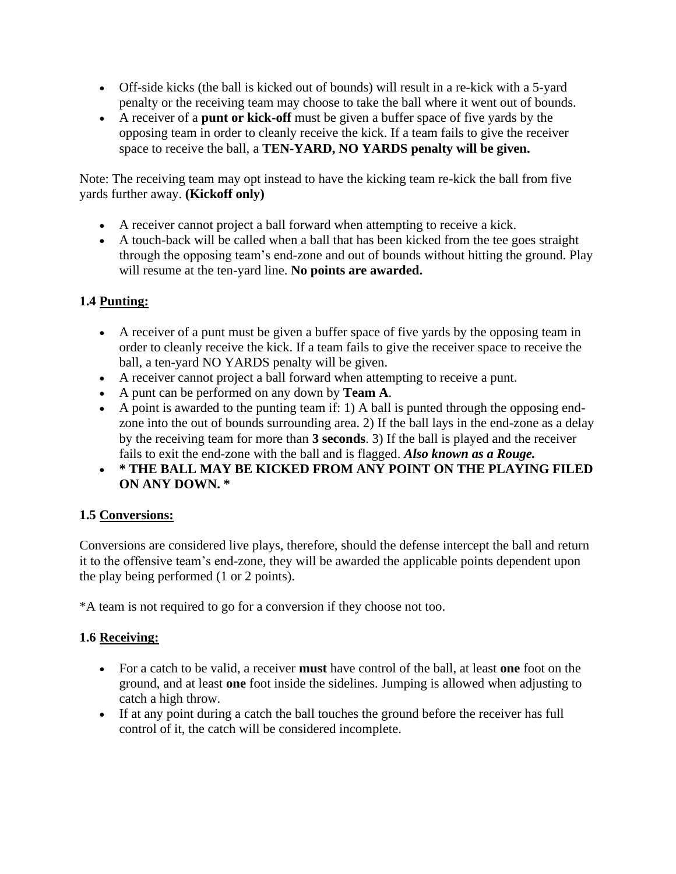- Off-side kicks (the ball is kicked out of bounds) will result in a re-kick with a 5-yard penalty or the receiving team may choose to take the ball where it went out of bounds.
- A receiver of a **punt or kick-off** must be given a buffer space of five yards by the opposing team in order to cleanly receive the kick. If a team fails to give the receiver space to receive the ball, a **TEN-YARD, NO YARDS penalty will be given.**

Note: The receiving team may opt instead to have the kicking team re-kick the ball from five yards further away. **(Kickoff only)**

- A receiver cannot project a ball forward when attempting to receive a kick.
- A touch-back will be called when a ball that has been kicked from the tee goes straight through the opposing team's end-zone and out of bounds without hitting the ground. Play will resume at the ten-yard line. **No points are awarded.**

# **1.4 Punting:**

- A receiver of a punt must be given a buffer space of five yards by the opposing team in order to cleanly receive the kick. If a team fails to give the receiver space to receive the ball, a ten-yard NO YARDS penalty will be given.
- A receiver cannot project a ball forward when attempting to receive a punt.
- A punt can be performed on any down by **Team A**.
- A point is awarded to the punting team if: 1) A ball is punted through the opposing endzone into the out of bounds surrounding area. 2) If the ball lays in the end-zone as a delay by the receiving team for more than **3 seconds**. 3) If the ball is played and the receiver fails to exit the end-zone with the ball and is flagged. *Also known as a Rouge.*
- **\* THE BALL MAY BE KICKED FROM ANY POINT ON THE PLAYING FILED ON ANY DOWN. \***

# **1.5 Conversions:**

Conversions are considered live plays, therefore, should the defense intercept the ball and return it to the offensive team's end-zone, they will be awarded the applicable points dependent upon the play being performed (1 or 2 points).

\*A team is not required to go for a conversion if they choose not too.

# **1.6 Receiving:**

- For a catch to be valid, a receiver **must** have control of the ball, at least **one** foot on the ground, and at least **one** foot inside the sidelines. Jumping is allowed when adjusting to catch a high throw.
- If at any point during a catch the ball touches the ground before the receiver has full control of it, the catch will be considered incomplete.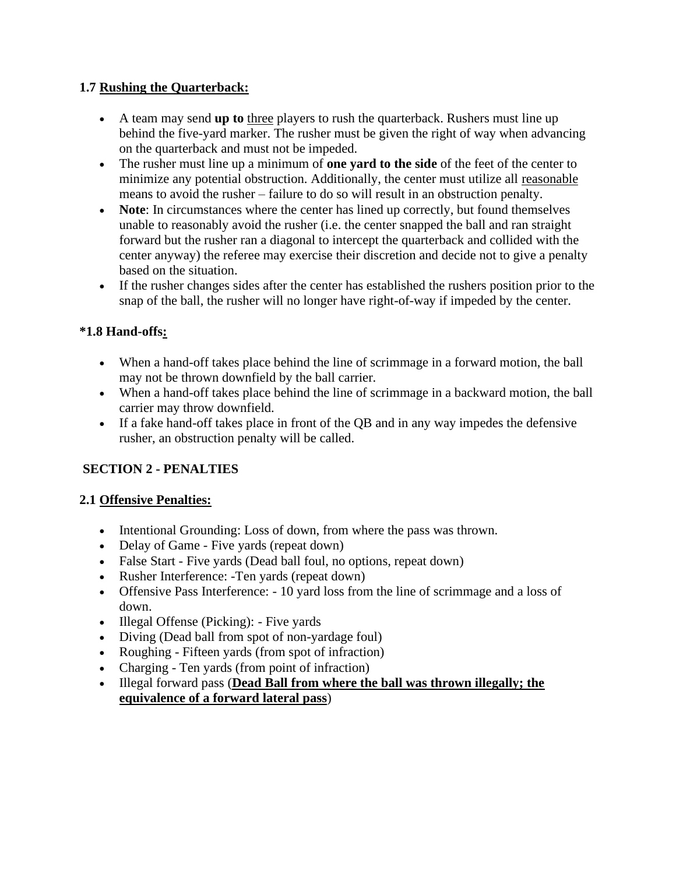#### **1.7 Rushing the Quarterback:**

- A team may send **up to** three players to rush the quarterback. Rushers must line up behind the five-yard marker. The rusher must be given the right of way when advancing on the quarterback and must not be impeded.
- The rusher must line up a minimum of **one yard to the side** of the feet of the center to minimize any potential obstruction. Additionally, the center must utilize all reasonable means to avoid the rusher – failure to do so will result in an obstruction penalty.
- **Note**: In circumstances where the center has lined up correctly, but found themselves unable to reasonably avoid the rusher (i.e. the center snapped the ball and ran straight forward but the rusher ran a diagonal to intercept the quarterback and collided with the center anyway) the referee may exercise their discretion and decide not to give a penalty based on the situation.
- If the rusher changes sides after the center has established the rushers position prior to the snap of the ball, the rusher will no longer have right-of-way if impeded by the center.

# **\*1.8 Hand-offs:**

- When a hand-off takes place behind the line of scrimmage in a forward motion, the ball may not be thrown downfield by the ball carrier.
- When a hand-off takes place behind the line of scrimmage in a backward motion, the ball carrier may throw downfield.
- If a fake hand-off takes place in front of the QB and in any way impedes the defensive rusher, an obstruction penalty will be called.

# **SECTION 2 - PENALTIES**

#### **2.1 Offensive Penalties:**

- Intentional Grounding: Loss of down, from where the pass was thrown.
- Delay of Game Five yards (repeat down)
- False Start Five yards (Dead ball foul, no options, repeat down)
- Rusher Interference: -Ten yards (repeat down)
- Offensive Pass Interference: 10 yard loss from the line of scrimmage and a loss of down.
- Illegal Offense (Picking): Five yards
- Diving (Dead ball from spot of non-yardage foul)
- Roughing Fifteen yards (from spot of infraction)
- Charging Ten yards (from point of infraction)
- Illegal forward pass (**Dead Ball from where the ball was thrown illegally; the equivalence of a forward lateral pass**)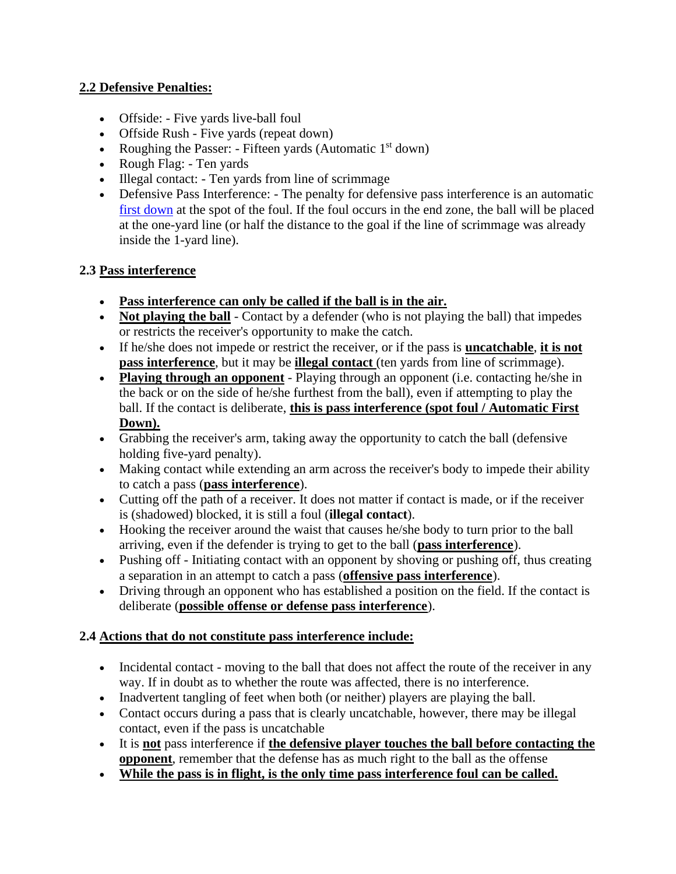# **2.2 Defensive Penalties:**

- Offside: Five yards live-ball foul
- Offside Rush Five yards (repeat down)
- Roughing the Passer: Fifteen yards (Automatic  $1<sup>st</sup>$  down)
- Rough Flag: Ten yards
- Illegal contact: Ten yards from line of scrimmage
- Defensive Pass Interference: The penalty for defensive pass interference is an automatic [first down](https://en.wikipedia.org/wiki/Glossary_of_American_football#D) at the spot of the foul. If the foul occurs in the end zone, the ball will be placed at the one-yard line (or half the distance to the goal if the line of scrimmage was already inside the 1-yard line).

# **2.3 Pass interference**

- **Pass interference can only be called if the ball is in the air.**
- **Not playing the ball** Contact by a defender (who is not playing the ball) that impedes or restricts the receiver's opportunity to make the catch.
- If he/she does not impede or restrict the receiver, or if the pass is **uncatchable**, **it is not pass interference**, but it may be **illegal contact** (ten yards from line of scrimmage).
- **Playing through an opponent** Playing through an opponent (i.e. contacting he/she in the back or on the side of he/she furthest from the ball), even if attempting to play the ball. If the contact is deliberate, **this is pass interference (spot foul / Automatic First Down).**
- Grabbing the receiver's arm, taking away the opportunity to catch the ball (defensive holding five-yard penalty).
- Making contact while extending an arm across the receiver's body to impede their ability to catch a pass (**pass interference**).
- Cutting off the path of a receiver. It does not matter if contact is made, or if the receiver is (shadowed) blocked, it is still a foul (**illegal contact**).
- Hooking the receiver around the waist that causes he/she body to turn prior to the ball arriving, even if the defender is trying to get to the ball (**pass interference**).
- Pushing off Initiating contact with an opponent by shoving or pushing off, thus creating a separation in an attempt to catch a pass (**offensive pass interference**).
- Driving through an opponent who has established a position on the field. If the contact is deliberate (**possible offense or defense pass interference**).

# **2.4 Actions that do not constitute pass interference include:**

- Incidental contact moving to the ball that does not affect the route of the receiver in any way. If in doubt as to whether the route was affected, there is no interference.
- Inadvertent tangling of feet when both (or neither) players are playing the ball.
- Contact occurs during a pass that is clearly uncatchable, however, there may be illegal contact, even if the pass is uncatchable
- It is **not** pass interference if **the defensive player touches the ball before contacting the opponent**, remember that the defense has as much right to the ball as the offense
- **While the pass is in flight, is the only time pass interference foul can be called.**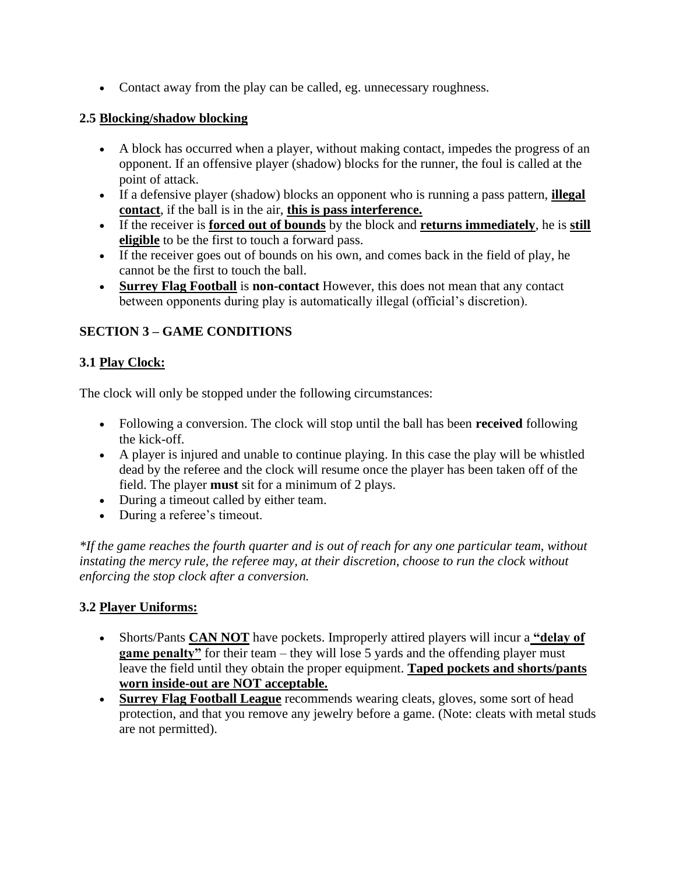• Contact away from the play can be called, eg. unnecessary roughness.

#### **2.5 Blocking/shadow blocking**

- A block has occurred when a player, without making contact, impedes the progress of an opponent. If an offensive player (shadow) blocks for the runner, the foul is called at the point of attack.
- If a defensive player (shadow) blocks an opponent who is running a pass pattern, **illegal contact**, if the ball is in the air, **this is pass interference.**
- If the receiver is **forced out of bounds** by the block and **returns immediately**, he is **still eligible** to be the first to touch a forward pass.
- If the receiver goes out of bounds on his own, and comes back in the field of play, he cannot be the first to touch the ball.
- **Surrey Flag Football** is **non-contact** However, this does not mean that any contact between opponents during play is automatically illegal (official's discretion).

# **SECTION 3 – GAME CONDITIONS**

# **3.1 Play Clock:**

The clock will only be stopped under the following circumstances:

- Following a conversion. The clock will stop until the ball has been **received** following the kick-off.
- A player is injured and unable to continue playing. In this case the play will be whistled dead by the referee and the clock will resume once the player has been taken off of the field. The player **must** sit for a minimum of 2 plays.
- During a timeout called by either team.
- During a referee's timeout.

*\*If the game reaches the fourth quarter and is out of reach for any one particular team, without instating the mercy rule, the referee may, at their discretion, choose to run the clock without enforcing the stop clock after a conversion.*

# **3.2 Player Uniforms:**

- Shorts/Pants **CAN NOT** have pockets. Improperly attired players will incur a **"delay of game penalty**" for their team – they will lose 5 yards and the offending player must leave the field until they obtain the proper equipment. **Taped pockets and shorts/pants worn inside-out are NOT acceptable.**
- **Surrey Flag Football League** recommends wearing cleats, gloves, some sort of head protection, and that you remove any jewelry before a game. (Note: cleats with metal studs are not permitted).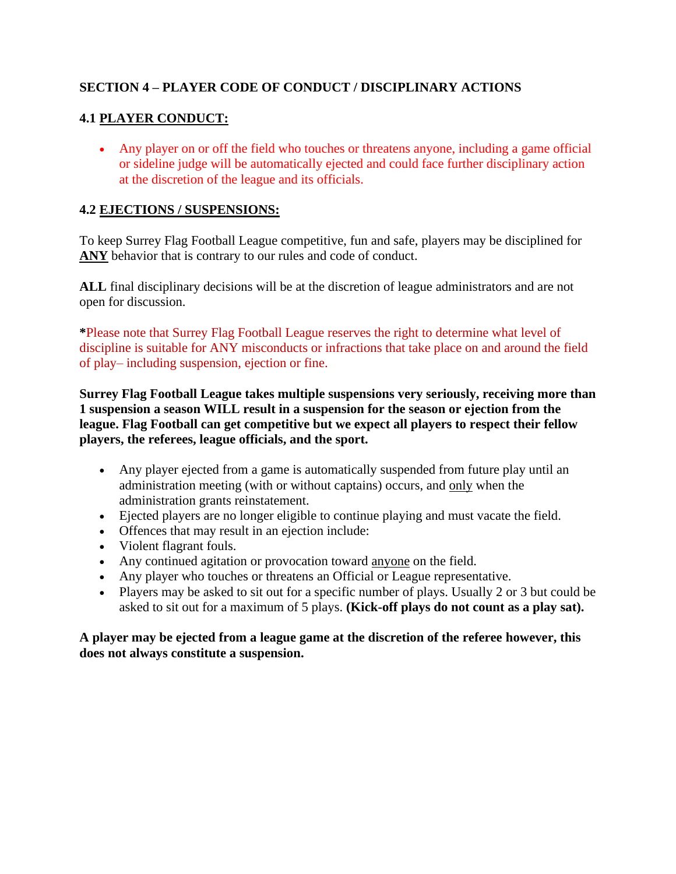# **SECTION 4 – PLAYER CODE OF CONDUCT / DISCIPLINARY ACTIONS**

# **4.1 PLAYER CONDUCT:**

• Any player on or off the field who touches or threatens anyone, including a game official or sideline judge will be automatically ejected and could face further disciplinary action at the discretion of the league and its officials.

#### **4.2 EJECTIONS / SUSPENSIONS:**

To keep Surrey Flag Football League competitive, fun and safe, players may be disciplined for **ANY** behavior that is contrary to our rules and code of conduct.

**ALL** final disciplinary decisions will be at the discretion of league administrators and are not open for discussion.

**\***Please note that Surrey Flag Football League reserves the right to determine what level of discipline is suitable for ANY misconducts or infractions that take place on and around the field of play– including suspension, ejection or fine.

**Surrey Flag Football League takes multiple suspensions very seriously, receiving more than 1 suspension a season WILL result in a suspension for the season or ejection from the league. Flag Football can get competitive but we expect all players to respect their fellow players, the referees, league officials, and the sport.**

- Any player ejected from a game is automatically suspended from future play until an administration meeting (with or without captains) occurs, and only when the administration grants reinstatement.
- Ejected players are no longer eligible to continue playing and must vacate the field.
- Offences that may result in an ejection include:
- Violent flagrant fouls.
- Any continued agitation or provocation toward anyone on the field.
- Any player who touches or threatens an Official or League representative.
- Players may be asked to sit out for a specific number of plays. Usually 2 or 3 but could be asked to sit out for a maximum of 5 plays. **(Kick-off plays do not count as a play sat).**

**A player may be ejected from a league game at the discretion of the referee however, this does not always constitute a suspension.**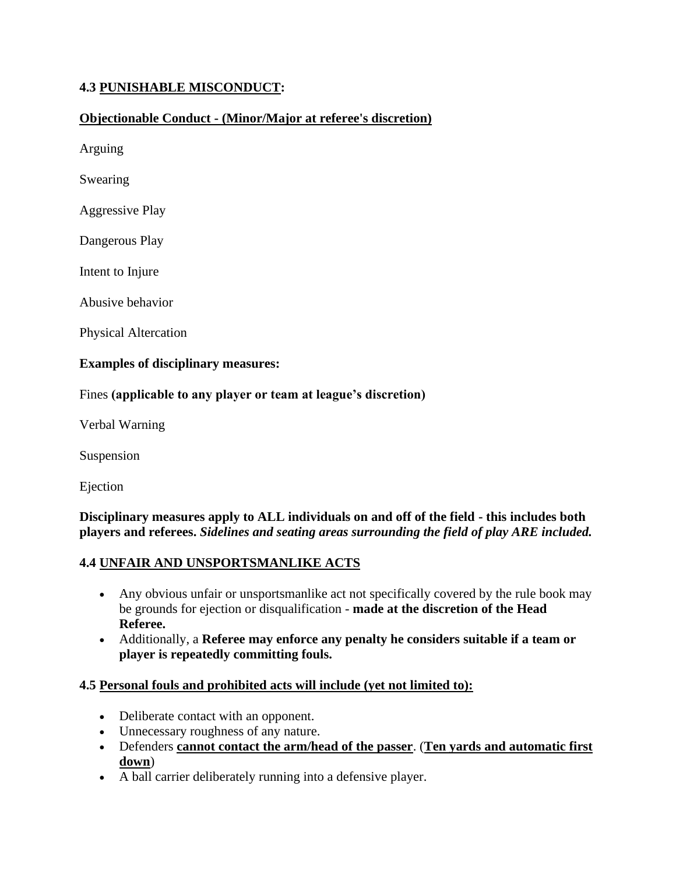# **4.3 PUNISHABLE MISCONDUCT:**

#### **Objectionable Conduct - (Minor/Major at referee's discretion)**

Arguing

Swearing

Aggressive Play

Dangerous Play

Intent to Injure

Abusive behavior

Physical Altercation

#### **Examples of disciplinary measures:**

#### Fines **(applicable to any player or team at league's discretion)**

Verbal Warning

Suspension

Ejection

#### **Disciplinary measures apply to ALL individuals on and off of the field - this includes both players and referees.** *Sidelines and seating areas surrounding the field of play ARE included.*

#### **4.4 UNFAIR AND UNSPORTSMANLIKE ACTS**

- Any obvious unfair or unsportsmanlike act not specifically covered by the rule book may be grounds for ejection or disqualification - **made at the discretion of the Head Referee.**
- Additionally, a **Referee may enforce any penalty he considers suitable if a team or player is repeatedly committing fouls.**

#### **4.5 Personal fouls and prohibited acts will include (yet not limited to):**

- Deliberate contact with an opponent.
- Unnecessary roughness of any nature.
- Defenders **cannot contact the arm/head of the passer**. (**Ten yards and automatic first down**)
- A ball carrier deliberately running into a defensive player.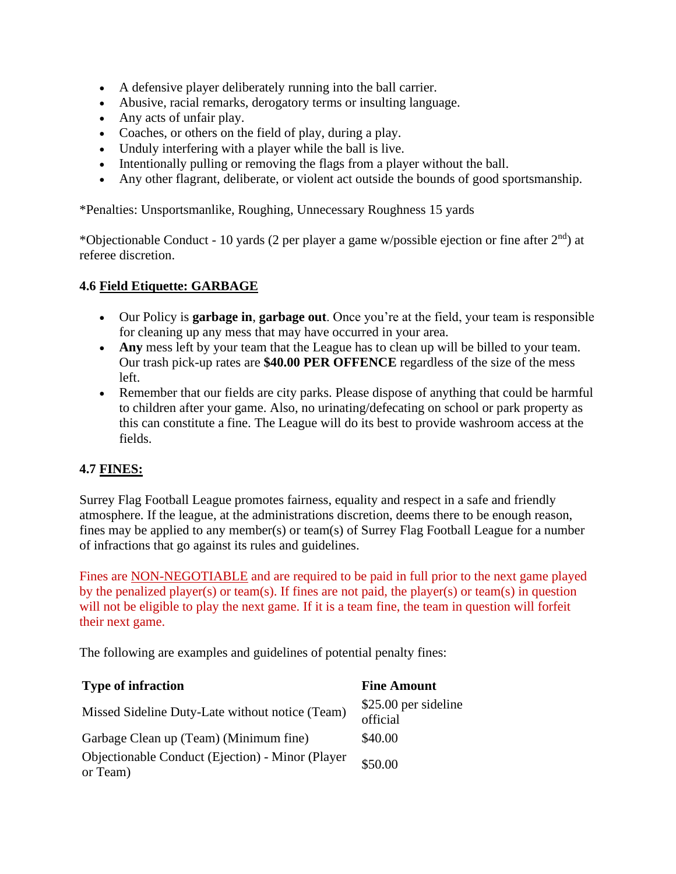- A defensive player deliberately running into the ball carrier.
- Abusive, racial remarks, derogatory terms or insulting language.
- Any acts of unfair play.
- Coaches, or others on the field of play, during a play.
- Unduly interfering with a player while the ball is live.
- Intentionally pulling or removing the flags from a player without the ball.
- Any other flagrant, deliberate, or violent act outside the bounds of good sportsmanship.

\*Penalties: Unsportsmanlike, Roughing, Unnecessary Roughness 15 yards

\*Objectionable Conduct - 10 yards (2 per player a game w/possible ejection or fine after  $2<sup>nd</sup>$ ) at referee discretion.

#### **4.6 Field Etiquette: GARBAGE**

- Our Policy is **garbage in**, **garbage out**. Once you're at the field, your team is responsible for cleaning up any mess that may have occurred in your area.
- **Any** mess left by your team that the League has to clean up will be billed to your team. Our trash pick-up rates are **\$40.00 PER OFFENCE** regardless of the size of the mess left.
- Remember that our fields are city parks. Please dispose of anything that could be harmful to children after your game. Also, no urinating/defecating on school or park property as this can constitute a fine. The League will do its best to provide washroom access at the fields.

#### **4.7 FINES:**

Surrey Flag Football League promotes fairness, equality and respect in a safe and friendly atmosphere. If the league, at the administrations discretion, deems there to be enough reason, fines may be applied to any member(s) or team(s) of Surrey Flag Football League for a number of infractions that go against its rules and guidelines.

Fines are NON-NEGOTIABLE and are required to be paid in full prior to the next game played by the penalized player(s) or team(s). If fines are not paid, the player(s) or team(s) in question will not be eligible to play the next game. If it is a team fine, the team in question will forfeit their next game.

The following are examples and guidelines of potential penalty fines:

| <b>Type of infraction</b>                                    | <b>Fine Amount</b>               |
|--------------------------------------------------------------|----------------------------------|
| Missed Sideline Duty-Late without notice (Team)              | \$25.00 per sideline<br>official |
| Garbage Clean up (Team) (Minimum fine)                       | \$40.00                          |
| Objectionable Conduct (Ejection) - Minor (Player<br>or Team) | \$50.00                          |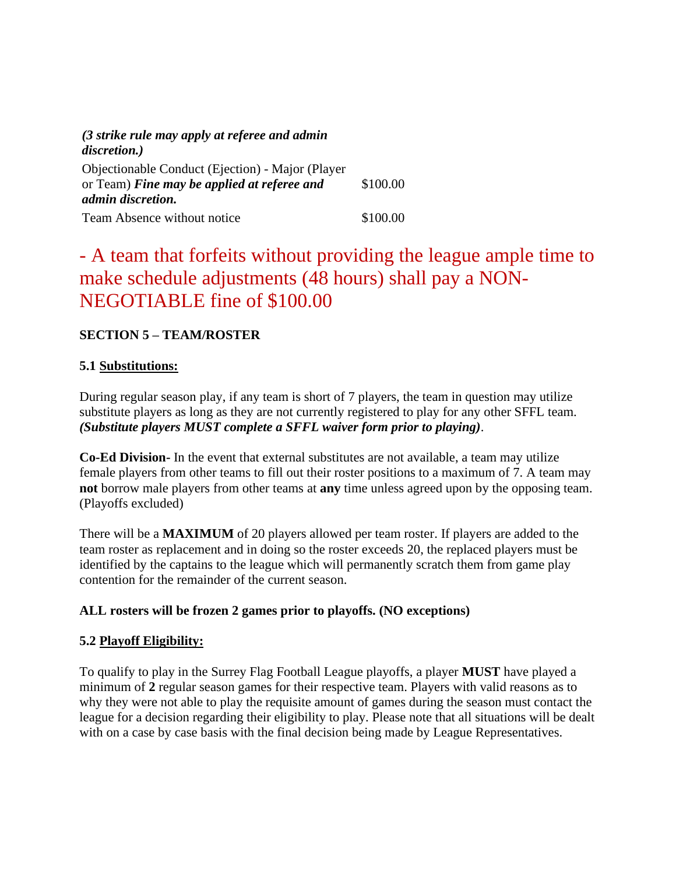| (3 strike rule may apply at referee and admin<br>discretion.)                                                               |          |
|-----------------------------------------------------------------------------------------------------------------------------|----------|
| Objectionable Conduct (Ejection) - Major (Player<br>or Team) Fine may be applied at referee and<br><i>admin discretion.</i> | \$100.00 |
| Team Absence without notice                                                                                                 | \$100.00 |

# - A team that forfeits without providing the league ample time to make schedule adjustments (48 hours) shall pay a NON-NEGOTIABLE fine of \$100.00

# **SECTION 5 – TEAM/ROSTER**

# **5.1 Substitutions:**

During regular season play, if any team is short of 7 players, the team in question may utilize substitute players as long as they are not currently registered to play for any other SFFL team. *(Substitute players MUST complete a SFFL waiver form prior to playing)*.

**Co-Ed Division-** In the event that external substitutes are not available, a team may utilize female players from other teams to fill out their roster positions to a maximum of 7. A team may **not** borrow male players from other teams at **any** time unless agreed upon by the opposing team. (Playoffs excluded)

There will be a **MAXIMUM** of 20 players allowed per team roster. If players are added to the team roster as replacement and in doing so the roster exceeds 20, the replaced players must be identified by the captains to the league which will permanently scratch them from game play contention for the remainder of the current season.

# **ALL rosters will be frozen 2 games prior to playoffs. (NO exceptions)**

# **5.2 Playoff Eligibility:**

To qualify to play in the Surrey Flag Football League playoffs, a player **MUST** have played a minimum of **2** regular season games for their respective team. Players with valid reasons as to why they were not able to play the requisite amount of games during the season must contact the league for a decision regarding their eligibility to play. Please note that all situations will be dealt with on a case by case basis with the final decision being made by League Representatives.